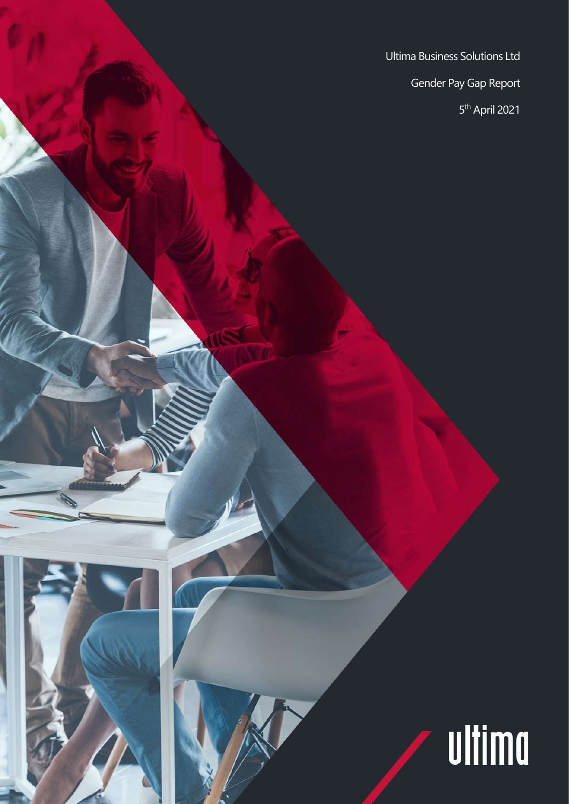Ultima Business Solutions Ltd Gender Pay Gap Report 5 th April 2021

ultima

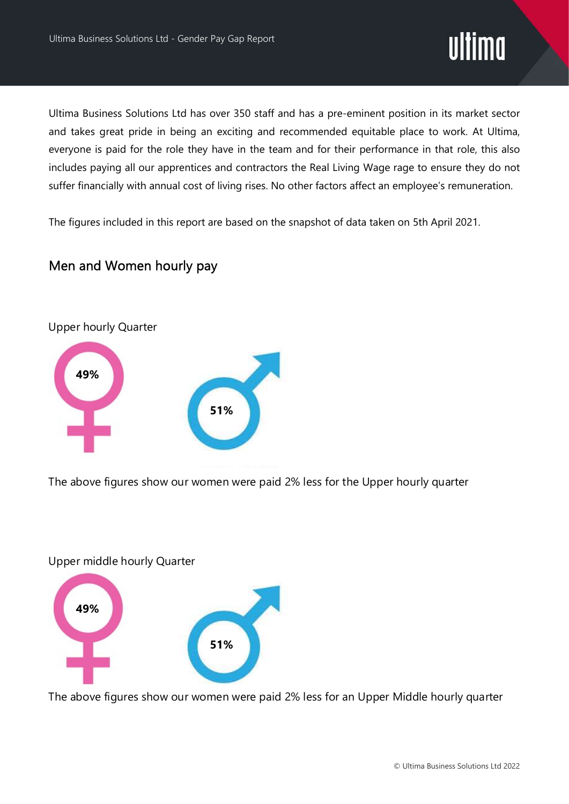## ultima

Ultima Business Solutions Ltd has over 350 staff and has a pre-eminent position in its market sector and takes great pride in being an exciting and recommended equitable place to work. At Ultima, everyone is paid for the role they have in the team and for their performance in that role, this also includes paying all our apprentices and contractors the Real Living Wage rage to ensure they do not suffer financially with annual cost of living rises. No other factors affect an employee's remuneration.

The figures included in this report are based on the snapshot of data taken on 5th April 2021.

#### Men and Women hourly pay



The above figures show our women were paid 2% less for the Upper hourly quarter

#### Upper middle hourly Quarter



The above figures show our women were paid 2% less for an Upper Middle hourly quarter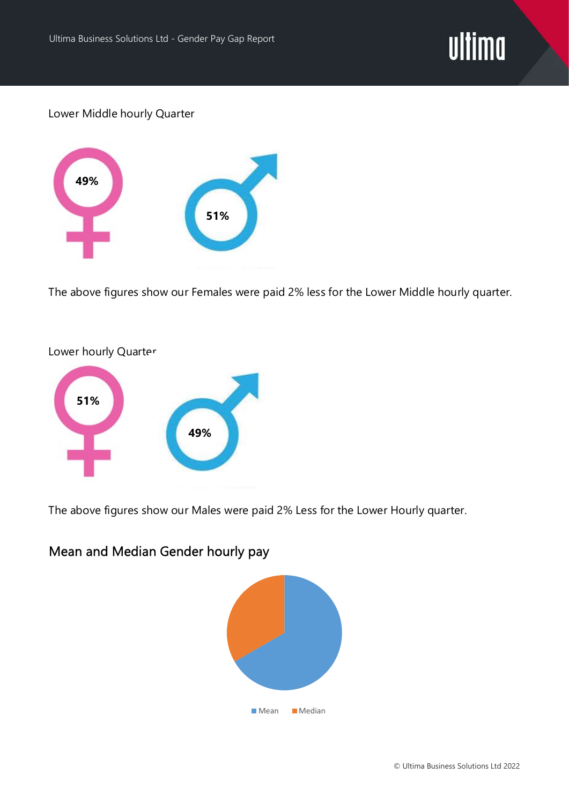

Lower Middle hourly Quarter



The above figures show our Females were paid 2% less for the Lower Middle hourly quarter.



The above figures show our Males were paid 2% Less for the Lower Hourly quarter.

### Mean and Median Gender hourly pay

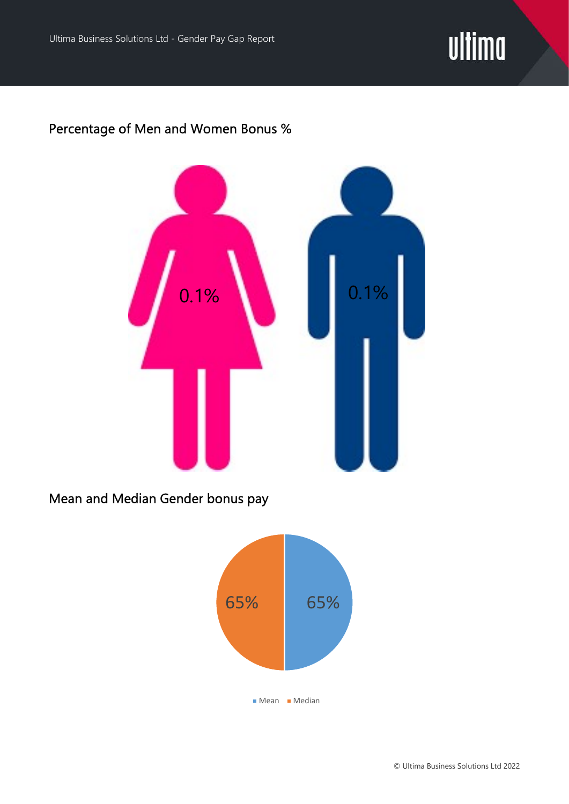

#### Percentage of Men and Women Bonus %



Mean and Median Gender bonus pay

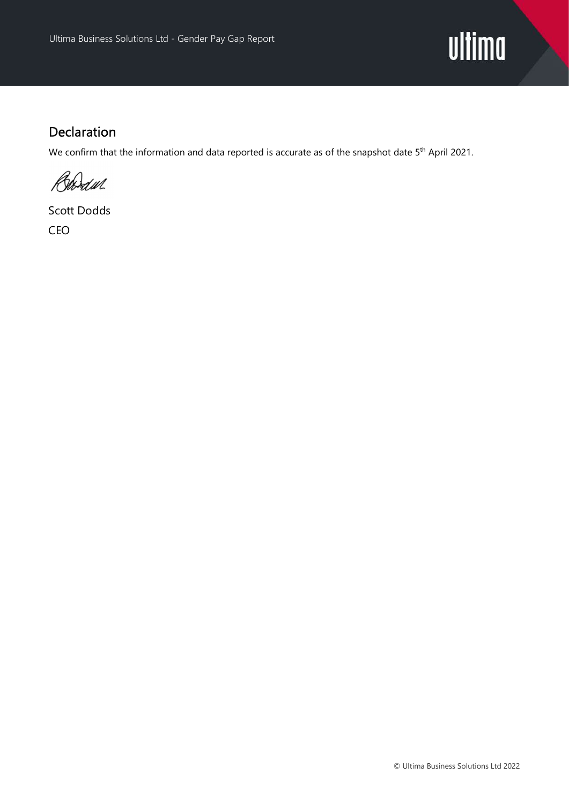

#### Declaration

We confirm that the information and data reported is accurate as of the snapshot date 5<sup>th</sup> April 2021.

Boodul

Scott Dodds CEO